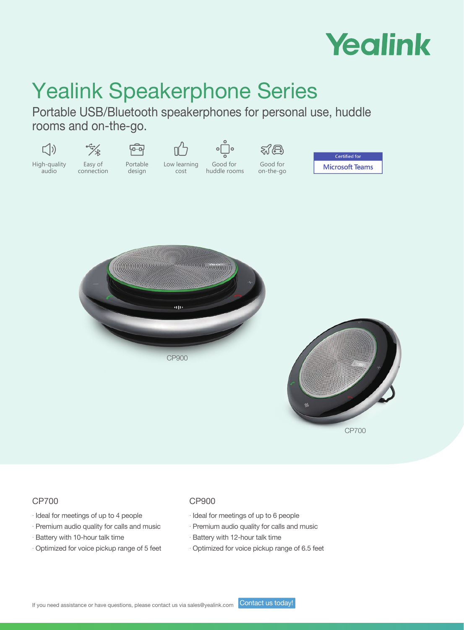

# Yealink Speakerphone Series

Portable USB/Bluetooth speakerphones for personal use, huddle rooms and on-the-go.



### CP700

- . Ideal for meetings of up to 4 people
- . Premium audio quality for calls and music
- . Battery with 10-hour talk time
- . Optimized for voice pickup range of 5 feet

### CP900

- . Ideal for meetings of up to 6 people
- . Premium audio quality for calls and music
- . Battery with 12-hour talk time
- . Optimized for voice pickup range of 6.5 feet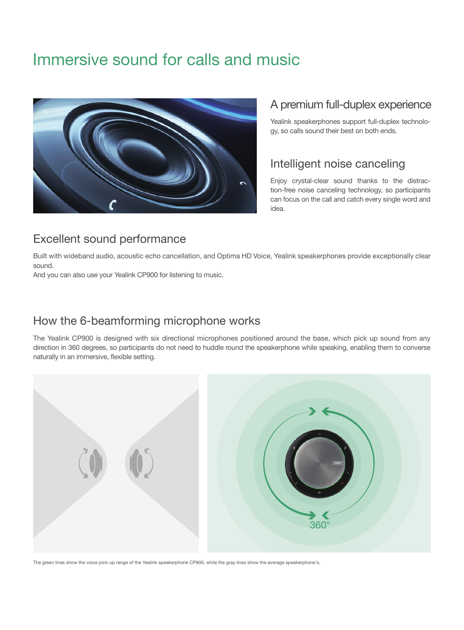# Immersive sound for calls and music



### A premium full-duplex experience

Yealink speakerphones support full-duplex technology, so calls sound their best on both ends.

### Intelligent noise canceling

Enjoy crystal-clear sound thanks to the distraction-free noise canceling technology, so participants can focus on the call and catch every single word and idea.

## Excellent sound performance

Built with wideband audio, acoustic echo cancellation, and Optima HD Voice, Yealink speakerphones provide exceptionally clear sound.

And you can also use your Yealink CP900 for listening to music.

### How the 6-beamforming microphone works

The Yealink CP900 is designed with six directional microphones positioned around the base, which pick up sound from any direction in 360 degrees, so participants do not need to huddle round the speakerphone while speaking, enabling them to converse naturally in an immersive, flexible setting.



The green lines show the voice pick-up range of the Yealink speakerphone CP900, while the gray lines show the average speakerphone's.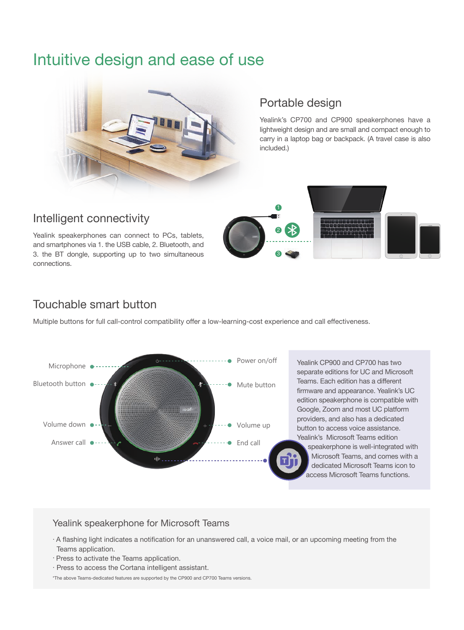# Intuitive design and ease of use



### Portable design

Yealink's CP700 and CP900 speakerphones have a lightweight design and are small and compact enough to carry in a laptop bag or backpack. (A travel case is also included.)

### Intelligent connectivity

Yealink speakerphones can connect to PCs, tablets, and smartphones via 1. the USB cable, 2. Bluetooth, and 3. the BT dongle, supporting up to two simultaneous connections.



# Touchable smart button

Multiple buttons for full call-control compatibility offer a low-learning-cost experience and call effectiveness.



#### Yealink speakerphone for Microsoft Teams

- . A flashing light indicates a notification for an unanswered call, a voice mail, or an upcoming meeting from the Teams application.
- . Press to activate the Teams application.
- . Press to access the Cortana intelligent assistant.

\*The above Teams-dedicated features are supported by the CP900 and CP700 Teams versions.